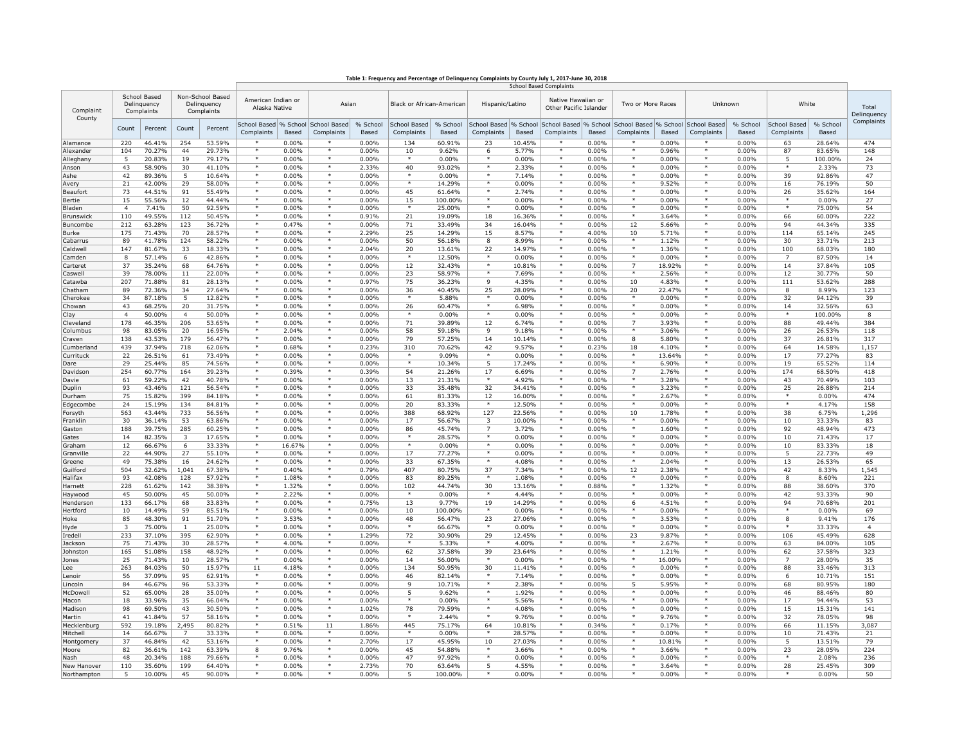| Table 1: Frequency and Percentage of Delinquency Complaints by County July 1, 2017-June 30, 2018 |  |  |
|--------------------------------------------------------------------------------------------------|--|--|
|                                                                                                  |  |  |

|                     |                                           |                  |                                               |                  | <b>School Based Complaints</b>      |                 |                            |                   |                            |                   |                    |                    |                                     |                   |                                                                                              |                 |                    |                           |                            |                   |                                              |  |                   |  |         |  |       |  |                      |
|---------------------|-------------------------------------------|------------------|-----------------------------------------------|------------------|-------------------------------------|-----------------|----------------------------|-------------------|----------------------------|-------------------|--------------------|--------------------|-------------------------------------|-------------------|----------------------------------------------------------------------------------------------|-----------------|--------------------|---------------------------|----------------------------|-------------------|----------------------------------------------|--|-------------------|--|---------|--|-------|--|----------------------|
| Complaint<br>County | School Based<br>Delinquency<br>Complaints |                  | Non-School Based<br>Delinquency<br>Complaints |                  |                                     |                 |                            |                   |                            |                   |                    |                    | American Indian or<br>Alaska Native |                   | Asian                                                                                        |                 |                    | Black or African-American |                            | Hispanic/Latino   | Native Hawaiian or<br>Other Pacific Islander |  | Two or More Races |  | Unknown |  | White |  | Total<br>Delinquency |
|                     | Count                                     | Percent          | Count                                         | Percent          | School Based % School<br>Complaints | Based           | School Based<br>Complaints | % School<br>Based | School Based<br>Complaints | % School<br>Based | Complaints         | Based              | Complaints                          | Based             | School Based % School School Based % School School Based % School School Based<br>Complaints | Based           | Complaints         | % School<br>Based         | School Based<br>Complaints | % School<br>Based | Complaints                                   |  |                   |  |         |  |       |  |                      |
| Alamance            | 220                                       | 46.41%           | 254                                           | 53.59%           |                                     | 0.00%           |                            | 0.00%             | 134                        | 60.91%            | 23                 | 10.45%             |                                     | 0.00%             |                                                                                              | 0.00%           |                    | 0.00%                     | 63                         | 28.64%            | 474                                          |  |                   |  |         |  |       |  |                      |
| Alexander           | 104                                       | 70.27%           | 44                                            | 29.73%           |                                     | 0.00%           | $\ast$                     | 0.00%             | 10                         | 9.62%             | 6                  | 5.77%              | $\ast$                              | 0.00%             |                                                                                              | 0.96%           | $\ast$             | 0.00%                     | 87                         | 83.65%            | 148                                          |  |                   |  |         |  |       |  |                      |
| Alleghany           | 5                                         | 20.83%           | 19                                            | 79.17%           |                                     | 0.00%           |                            | 0.00%             |                            | 0.00%             |                    | 0.00%              | $\ast$                              | 0.00%             |                                                                                              | 0.00%           |                    | 0.00%                     | 5                          | 100.00%           | 24                                           |  |                   |  |         |  |       |  |                      |
| Anson               | 43                                        | 58.90%           | 30                                            | 41.10%           |                                     | 0.00%           |                            | 2.33%             | 40                         | 93.02%            |                    | 2.33%              |                                     | 0.00%             |                                                                                              | 0.00%           |                    | 0.00%                     |                            | 2.33%             | 73                                           |  |                   |  |         |  |       |  |                      |
| Ashe                | 42                                        | 89.36%           | 5                                             | 10.64%           | $\ast$                              | 0.00%           | $\ast$                     | 0.00%             | $\ast$                     | $0.00\%$          | $\ast$             | 7.14%              | $\ast$                              | $0.00\%$          | $\ast$                                                                                       | 0.00%           | $\ast$             | 0.00%                     | 39                         | 92.86%            | 47                                           |  |                   |  |         |  |       |  |                      |
| Avery               | 21                                        | 42.00%           | 29                                            | 58.00%           | $\ast$<br>$\star$                   | 0.00%           | $\ast$<br>$\ast$           | 0.00%             | $\ast$                     | 14.29%            | $\ast$<br>$\ast$   | 0.00%              | $\ast$<br>$\star$                   | 0.00%             | $\ast$<br>$\star$                                                                            | 9.52%           | $\ast$<br>$\ast$   | 0.00%                     | 16                         | 76.19%            | 50                                           |  |                   |  |         |  |       |  |                      |
| Beaufort            | 73                                        | 44.51%           | 91                                            | 55.49%           | $\ast$                              | 0.00%           | $\ast$                     | $0.00\%$          | 45                         | 61.64%            | $\ast$             | 2.74%              | $\ast$                              | 0.00%             | $\ast$                                                                                       | 0.00%           | $\ast$             | 0.00%                     | 26<br>$\ast$               | 35.62%            | 164                                          |  |                   |  |         |  |       |  |                      |
| Bertie<br>Bladen    | 15<br>$\overline{a}$                      | 55.56%<br>7.41%  | 12<br>50                                      | 44.44%<br>92.59% | $\star$                             | 0.00%<br>0.00%  | $\ast$                     | 0.00%<br>0.00%    | 15<br>$\star$              | 100.00%<br>25.00% | $\star$            | 0.00%<br>0.00%     | $\star$                             | 0.00%<br>0.00%    | $\star$                                                                                      | 0.00%<br>0.00%  | $\ast$             | 0.00%<br>0.00%            | $\star$                    | 0.00%<br>75.00%   | 27<br>54                                     |  |                   |  |         |  |       |  |                      |
| Brunswick           | 110                                       | 49.55%           | 112                                           | 50.45%           | $\ast$                              | 0.00%           | $\ast$                     | 0.91%             | 21                         | 19.09%            | 18                 | 16.36%             | $\ast$                              | 0.00%             | $\ast$                                                                                       | 3.64%           | $\ast$             | 0.00%                     | 66                         | 60.00%            | 222                                          |  |                   |  |         |  |       |  |                      |
| Buncombe            | 212                                       | 63.28%           | 123                                           | 36.72%           | $\ast$                              | 0.47%           | $\ast$                     | 0.00%             | 71                         | 33.49%            | 34                 | 16.04%             | $\ast$                              | $0.00\%$          | 12                                                                                           | 5.66%           | $\ast$             | $0.00\%$                  | 94                         | 44.34%            | 335                                          |  |                   |  |         |  |       |  |                      |
| Burke               | 175                                       | 71.43%           | 70                                            | 28.57%           |                                     | 0.00%           | $\ast$                     | 2.29%             | 25                         | 14.29%            | 15                 | 8.57%              | $\ast$                              | 4.00%             | 10                                                                                           | 5.71%           | $\ast$             | $0.00\%$                  | 114                        | 65.14%            | 245                                          |  |                   |  |         |  |       |  |                      |
| Cabarrus            | 89                                        | 41.78%           | 124                                           | 58.22%           |                                     | 0.00%           |                            | 0.00%             | 50                         | 56.18%            | 8                  | 8.99%              | $\overline{\ast}$                   | 0.00%             |                                                                                              | 1.12%           |                    | 0.00%                     | 30                         | 33.71%            | 213                                          |  |                   |  |         |  |       |  |                      |
| Caldwell            | 147                                       | 81.67%           | 33                                            | 18.33%           |                                     | 0.00%           |                            | 2.04%             | 20                         | 13.61%            | 22                 | 14.97%             |                                     | $0.00\%$          |                                                                                              | 1.36%           |                    | $0.00\%$                  | 100                        | 68.03%            | 180                                          |  |                   |  |         |  |       |  |                      |
| Camden              | 8                                         | 57.14%           | 6                                             | 42.86%           | ×                                   | 0.00%           | $\ast$                     | 0.00%             | ×                          | 12.50%            | $\ast$             | 0.00%              | $\ast$                              | 0.00%             | $\ast$                                                                                       | 0.00%           | $\ast$             | 0.00%                     | $\overline{7}$             | 87.50%            | 14                                           |  |                   |  |         |  |       |  |                      |
| Carteret            | 37                                        | 35.24%           | 68                                            | 64.76%           | ×<br>×                              | 0.00%           | $\star$<br>$\star$         | 0.00%             | 12                         | 32.43%            | $\star$<br>$\star$ | 10.81%             | $\star$<br>$\star$                  | 0.00%             | $\overline{7}$<br>$\star$                                                                    | 18.92%          | $\star$<br>$\star$ | 0.00%                     | 14                         | 37.84%            | 105                                          |  |                   |  |         |  |       |  |                      |
| Caswell             | 39                                        | 78.00%           | 11                                            | 22.00%           | ×                                   | 0.00%           | $\star$                    | 0.00%             | 23                         | 58.97%            |                    | 7.69%              | $\star$                             | 0.00%             |                                                                                              | 2.56%           | $\star$            | 0.00%                     | 12                         | 30.77%            | 50                                           |  |                   |  |         |  |       |  |                      |
| Catawba<br>Chatham  | 207<br>89                                 | 71.88%<br>72.36% | 81<br>34                                      | 28.13%<br>27.64% | ×                                   | 0.00%<br>0.00%  | $\ast$                     | 0.97%<br>0.00%    | 75<br>36                   | 36.23%<br>40.45%  | 9<br>25            | 4.35%<br>28.09%    | $\ast$                              | 0.00%<br>0.00%    | 10<br>20                                                                                     | 4.83%<br>22.47% | $\ast$             | 0.00%<br>0.00%            | 111<br>8                   | 53.62%<br>8.99%   | 288<br>123                                   |  |                   |  |         |  |       |  |                      |
| Cherokee            | 34                                        | 87.18%           | 5                                             | 12.82%           | $\ast$                              | 0.00%           | $\ast$                     | 0.00%             |                            | 5.88%             |                    | 0.00%              | $\ast$                              | 0.00%             |                                                                                              | 0.00%           | $\ast$             | 0.00%                     | 32                         | 94.12%            | 39                                           |  |                   |  |         |  |       |  |                      |
| Chowan              | 43                                        | 68.25%           | 20                                            | 31.75%           |                                     | 0.00%           | $\ast$                     | 0.00%             | 26                         | 60.47%            | $\ast$             | 6.98%              | $\ast$                              | 0.00%             | $\ast$                                                                                       | 0.00%           | $\ast$             | 0.00%                     | 14                         | 32.56%            | 63                                           |  |                   |  |         |  |       |  |                      |
| Clay                | $\overline{a}$                            | 50.00%           | $\overline{a}$                                | 50.00%           | $\ast$                              | 0.00%           | $\ast$                     | 0.00%             |                            | 0.00%             | $\ast$             | 0.00%              | $\ast$                              | $0.00\%$          | $\ast$                                                                                       | 0.00%           | $\ast$             | 0.00%                     |                            | 100.00%           | 8                                            |  |                   |  |         |  |       |  |                      |
| Cleveland           | 178                                       | 46.35%           | 206                                           | 53.65%           | $\ast$                              | 0.00%           | $\ast$                     | 0.00%             | 71                         | 39.89%            | 12                 | 6.74%              | $\ast$                              | 0.00%             | $\overline{7}$                                                                               | 3.93%           | $\ast$             | 0.00%                     | 88                         | 49.44%            | 384                                          |  |                   |  |         |  |       |  |                      |
| Columbus            | 98                                        | 83.05%           | 20                                            | 16.95%           | $\ast$                              | 2.04%           | $\ast$                     | 0.00%             | 58                         | 59.18%            | -9                 | 9.18%              | $\ast$                              | 0.00%             | $\ast$                                                                                       | 3.06%           | $\ast$             | 0.00%                     | 26                         | 26.53%            | 118                                          |  |                   |  |         |  |       |  |                      |
| Craven              | 138                                       | 43.53%           | 179                                           | 56.47%           | $\ast$                              | 0.00%           | $\ast$                     | 0.00%             | 79                         | 57.25%            | 14                 | 10.14%             | $\ast$                              | 0.00%             | 8                                                                                            | 5.80%           | $\ast$             | 0.00%                     | 37                         | 26.81%            | 317                                          |  |                   |  |         |  |       |  |                      |
| Cumberland          | 439                                       | 37.94%           | 718                                           | 62.06%           | $\ast$<br>$\star$                   | 0.68%           | $\ast$<br>$\star$          | 0.23%             | 310                        | 70.62%            | 42<br>$\star$      | 9.57%              | $\ast$<br>$\star$                   | 0.23%             | 18<br>$\star$                                                                                | 4.10%           | $\ast$<br>$\star$  | 0.00%                     | 64                         | 14.58%            | 1,157                                        |  |                   |  |         |  |       |  |                      |
| Currituck           | 22                                        | 26.51%           | 61                                            | 73.49%           | $\star$                             | 0.00%           | $\star$                    | 0.00%             | $\ast$<br>$\star$          | 9.09%             |                    | 0.00%              | $\ast$                              | 0.00%             | $\star$                                                                                      | 13.64%          | $\star$            | 0.00%                     | 17                         | 77.27%            | 83                                           |  |                   |  |         |  |       |  |                      |
| Dare                | 29<br>254                                 | 25.44%           | 85                                            | 74.56%<br>39.23% | ×                                   | 0.00%<br>0.39%  | $\star$                    | 0.00%<br>0.39%    | 54                         | 10.34%<br>21.26%  | 5<br>17            | 17.24%<br>6.69%    | $\star$                             | 0.00%<br>0.00%    | $\overline{7}$                                                                               | 6.90%<br>2.76%  | $\star$            | 0.00%<br>0.00%            | 19<br>174                  | 65.52%            | 114                                          |  |                   |  |         |  |       |  |                      |
| Davidson<br>Davie   | 61                                        | 60.77%<br>59.22% | 164<br>42                                     | 40.78%           |                                     | 0.00%           |                            | 0.00%             | 13                         | 21.31%            |                    | 4.92%              | $\overline{\ast}$                   | 0.00%             |                                                                                              | 3.28%           |                    | 0.00%                     | 43                         | 68.50%<br>70.49%  | 418<br>103                                   |  |                   |  |         |  |       |  |                      |
| Duplin              | 93                                        | 43.46%           | 121                                           | 56.54%           |                                     | 0.00%           |                            | $0.00\%$          | 33                         | 35.48%            | 32                 | 34.41%             |                                     | $0.00\%$          |                                                                                              | 3.23%           |                    | $0.00\%$                  | 25                         | 26.88%            | 214                                          |  |                   |  |         |  |       |  |                      |
| Durham              | 75                                        | 15.82%           | 399                                           | 84.18%           | $\ast$                              | 0.00%           | $\ast$                     | 0.00%             | 61                         | 81.33%            | 12                 | 16.00%             | $\ast$                              | 0.00%             | $\ast$                                                                                       | 2.67%           | $\ast$             | 0.00%                     |                            | 0.00%             | 474                                          |  |                   |  |         |  |       |  |                      |
| Edgecombe           | 24                                        | 15.19%           | 134                                           | 84.81%           | ×                                   | 0.00%           | $\star$                    | 0.00%             | 20                         | 83.33%            | $\ast$             | 12.50%             | $\star$                             | 0.00%             | $\star$                                                                                      | 0.00%           | $\star$            | 0.00%                     | $\star$                    | 4.17%             | 158                                          |  |                   |  |         |  |       |  |                      |
| Forsvth             | 563                                       | 43.44%           | 733                                           | 56.56%           |                                     | 0.00%           | $\star$                    | 0.00%             | 388                        | 68.92%            | 127                | 22.56%             | $\star$                             | 0.00%             | 10                                                                                           | 1.78%           | $\star$            | 0.00%                     | 38                         | 6.75%             | 1,296                                        |  |                   |  |         |  |       |  |                      |
| Franklin            | 30                                        | 36.14%           | 53                                            | 63.86%           |                                     | 0.00%           | $\star$                    | 0.00%             | 17                         | 56.67%            | 3                  | 10.00%             | $\star$                             | 0.00%             |                                                                                              | 0.00%           | $\star$            | 0.00%                     | 10                         | 33.33%            | 83                                           |  |                   |  |         |  |       |  |                      |
| Gaston              | 188                                       | 39.75%           | 285                                           | 60.25%           |                                     | 0.00%           |                            | 0.00%             | 86                         | 45.74%            | $\overline{7}$     | 3.72%              | $\ast$                              | 0.00%             |                                                                                              | 1.60%           |                    | 0.00%                     | 92                         | 48.94%            | 473                                          |  |                   |  |         |  |       |  |                      |
| Gates               | 14<br>12                                  | 82.35%           | 3                                             | 17.65%           |                                     | 0.00%           |                            | 0.00%             | $\ast$                     | 28.57%            | $\ast$<br>$\ast$   | 0.00%<br>0.00%     | $\ast$<br>$\ast$                    | 0.00%<br>0.00%    |                                                                                              | 0.00%<br>0.00%  | $\ast$             | 0.00%<br>0.00%            | 10                         | 71.43%            | 17                                           |  |                   |  |         |  |       |  |                      |
| Graham<br>Granville | 22                                        | 66.67%<br>44.90% | 6<br>27                                       | 33.33%<br>55.10% |                                     | 16.67%<br>0.00% |                            | 0.00%<br>0.00%    | 17                         | 0.00%<br>77.27%   |                    | 0.00%              |                                     | 0.00%             |                                                                                              | 0.00%           |                    | 0.00%                     | 10<br>-5                   | 83.33%<br>22.73%  | 18<br>49                                     |  |                   |  |         |  |       |  |                      |
| Greene              | 49                                        | 75.38%           | 16                                            | 24.62%           |                                     | 0.00%           |                            | 0.00%             | 33                         | 67.35%            |                    | 4.08%              |                                     | 0.00%             |                                                                                              | 2.04%           |                    | 0.00%                     | 13                         | 26.53%            | 65                                           |  |                   |  |         |  |       |  |                      |
| Guilford            | 504                                       | 32.62%           | 1,041                                         | 67.38%           | ×                                   | 0.40%           | $\ast$                     | 0.79%             | 407                        | 80.75%            | 37                 | 7.34%              | $\ast$                              | 0.00%             | 12                                                                                           | 2.38%           | $\ast$             | 0.00%                     | 42                         | 8.33%             | 1,545                                        |  |                   |  |         |  |       |  |                      |
| Halifax             | 93                                        | 42.08%           | 128                                           | 57.92%           | $\star$                             | 1.08%           | $\star$                    | 0.00%             | 83                         | 89.25%            | $\star$            | 1.08%              | $\star$                             | 0.00%             | $\star$                                                                                      | 0.00%           | $\star$            | 0.00%                     | 8                          | 8.60%             | 221                                          |  |                   |  |         |  |       |  |                      |
| Harnett             | 228                                       | 61.62%           | 142                                           | 38.38%           | $\star$                             | 1.32%           | $\ast$                     | 0.00%             | 102                        | 44.74%            | 30                 | 13.16%             | $\ast$                              | 0.88%             | $\star$                                                                                      | 1.32%           | $\ast$             | 0.00%                     | 88                         | 38.60%            | 370                                          |  |                   |  |         |  |       |  |                      |
| Haywood             | 45                                        | 50.00%           | 45                                            | 50.00%           | $\star$                             | 2.22%           | $\star$                    | 0.00%             | $\star$                    | 0.00%             | $\star$            | 4.44%              | $\star$                             | 0.00%             | $\star$                                                                                      | 0.00%           | $\star$            | 0.00%                     | 42                         | 93.33%            | 90                                           |  |                   |  |         |  |       |  |                      |
| Henderson           | 133                                       | 66.17%           | 68                                            | 33.83%           | $\star$                             | 0.00%           | $\ast$                     | 0.75%             | 13                         | 9.77%             | 19                 | 14.29%             | $\ast$                              | 0.00%             | 6                                                                                            | 4.51%           | $\ast$             | 0.00%                     | 94                         | 70.68%            | 201                                          |  |                   |  |         |  |       |  |                      |
| Hertford            | 10                                        | 14.49%           | 59                                            | 85.51%           | $\ast$<br>$\ast$                    | 0.00%           | $\ast$<br>$\ast$           | 0.00%             | 10                         | 100.00%           |                    | $0.00\%$           | $\ast$<br>$\ast$                    | 0.00%             | $\ast$                                                                                       | 0.00%           | $\ast$<br>$\ast$   | 0.00%                     |                            | 0.00%             | 69                                           |  |                   |  |         |  |       |  |                      |
| Hoke                | 85                                        | 48.30%           | 91                                            | 51.70%           |                                     | 3.53%           | $\ast$                     | 0.00%             | 48                         | 56.47%            | 23                 | 27.06%             | $\ast$                              | 0.00%             |                                                                                              | 3.53%           | $\ast$             | 0.00%                     | 8                          | 9.41%             | 176                                          |  |                   |  |         |  |       |  |                      |
| Hyde<br>[redell     | 3<br>233                                  | 75.00%<br>37.10% | $\mathbf{1}$<br>395                           | 25.00%<br>62.90% |                                     | 0.00%<br>0.00%  | $\ast$                     | $0.00\%$<br>1.29% | 72                         | 66.67%<br>30.90%  | 29                 | $0.00\%$<br>12.45% | $\ast$                              | $0.00\%$<br>0.00% | 23                                                                                           | 0.00%<br>9.87%  | $\ast$             | $0.00\%$<br>0.00%         | 106                        | 33.33%<br>45.49%  | 4<br>628                                     |  |                   |  |         |  |       |  |                      |
| Jackson             | 75                                        | 71.43%           | 30                                            | 28.57%           |                                     | 4.00%           |                            | $0.00\%$          |                            | 5.33%             |                    | 4.00%              |                                     | $0.00\%$          |                                                                                              | 2.67%           |                    | $0.00\%$                  | 63                         | 84.00%            | 105                                          |  |                   |  |         |  |       |  |                      |
| Johnston            | 165                                       | 51.08%           | 158                                           | 48.92%           | $\ast$                              | 0.00%           | $\ast$                     | 0.00%             | 62                         | 37.58%            | 39                 | 23.64%             | $\ast$                              | 0.00%             | $\ast$                                                                                       | 1.21%           | $\ast$             | 0.00%                     | 62                         | 37.58%            | 323                                          |  |                   |  |         |  |       |  |                      |
| Jones               | 25                                        | 71.43%           | 10                                            | 28.57%           | ×                                   | 0.00%           | $\star$                    | 0.00%             | 14                         | 56.00%            | $\star$            | 0.00%              | $\star$                             | 0.00%             | $\star$                                                                                      | 16.00%          | $\star$            | 0.00%                     |                            | 28.00%            | 35                                           |  |                   |  |         |  |       |  |                      |
| _ee                 | 263                                       | 84.03%           | 50                                            | 15.97%           | 11                                  | 4.18%           | $\ast$                     | 0.00%             | 134                        | 50.95%            | 30                 | 11.41%             | $\ast$                              | 0.00%             | $\star$                                                                                      | 0.00%           | $\ast$             | 0.00%                     | 88                         | 33.46%            | 313                                          |  |                   |  |         |  |       |  |                      |
| l enoir             | 56                                        | 37.09%           | 95                                            | 62.91%           | $\star$                             | 0.00%           | $\star$                    | 0.00%             | 46                         | 82.14%            | $\star$            | 7.14%              | $\star$                             | 0.00%             | $\star$                                                                                      | 0.00%           | $\star$            | 0.00%                     | -6                         | 10.71%            | 151                                          |  |                   |  |         |  |       |  |                      |
| incoln              | 84                                        | 46.67%           | 96                                            | 53.33%           | $\ast$                              | 0.00%           | $\ast$                     | 0.00%             | $\mathbf{q}$               | 10.71%            | $\ast$             | 2.38%              | $\ast$                              | 0.00%             | 5                                                                                            | 5.95%           | $\ast$             | 0.00%                     | 68                         | 80.95%            | 180                                          |  |                   |  |         |  |       |  |                      |
| McDowel             | 52                                        | 65.00%           | 28                                            | 35.00%           |                                     | 0.00%           |                            | 0.00%             | 5                          | 9.62%             | $\overline{\ast}$  | 1.92%              | $\overline{\ast}$                   | 0.00%             |                                                                                              | 0.00%           |                    | 0.00%                     | 46                         | 88.46%            | 80                                           |  |                   |  |         |  |       |  |                      |
| Macon               | 18                                        | 33.96%           | 35                                            | 66.04%           | $\ast$<br>$\ast$                    | 0.00%           | $\ast$<br>$\ast$           | 0.00%             |                            | 0.00%             | $\ast$<br>$\ast$   | 5.56%              | $\ast$<br>$\ast$                    | 0.00%             | $\ast$<br>$\ast$                                                                             | 0.00%           | $\ast$<br>$\ast$   | 0.00%                     | 17                         | 94.44%            | 53                                           |  |                   |  |         |  |       |  |                      |
| Madison<br>Martin   | 98<br>41                                  | 69.50%<br>41.84% | 43<br>57                                      | 30.50%<br>58.16% | $\ast$                              | 0.00%<br>0.00%  | $\ast$                     | 1.02%<br>0.00%    | 78<br>×                    | 79.59%<br>2.44%   | $\ast$             | 4.08%<br>9.76%     | $\star$                             | 0.00%<br>0.00%    | $\ast$                                                                                       | 0.00%<br>9.76%  | $\ast$             | 0.00%<br>0.00%            | 15<br>32                   | 15.31%<br>78.05%  | 141<br>98                                    |  |                   |  |         |  |       |  |                      |
| Mecklenburg         | 592                                       | 19.18%           | 2,495                                         | 80.82%           | $\ast$                              | 0.51%           | 11                         | 1.86%             | 445                        | 75.17%            | 64                 | 10.81%             | $\ast$                              | 0.34%             | $\ast$                                                                                       | 0.17%           | $\ast$             | 0.00%                     | 66                         | 11.15%            | 3,087                                        |  |                   |  |         |  |       |  |                      |
| Mitchell            | 14                                        | 66.67%           | $\overline{7}$                                | 33.33%           | $\star$                             | 0.00%           | $\ast$                     | 0.00%             | ×                          | 0.00%             | $\star$            | 28.57%             | $\star$                             | 0.00%             | $\star$                                                                                      | 0.00%           | $\ast$             | 0.00%                     | 10                         | 71.43%            | 21                                           |  |                   |  |         |  |       |  |                      |
| Montgomery          | 37                                        | 46.84%           | 42                                            | 53.16%           | $\ast$                              | 0.00%           | $\ast$                     | 2.70%             | 17                         | 45.95%            | 10                 | 27.03%             | $\ast$                              | 0.00%             | $\star$                                                                                      | 10.81%          | $\ast$             | 0.00%                     | 5                          | 13.51%            | 79                                           |  |                   |  |         |  |       |  |                      |
| Moore               | 82                                        | 36.61%           | 142                                           | 63.39%           | 8                                   | 9.76%           | $\star$                    | 0.00%             | 45                         | 54.88%            | $\star$            | 3.66%              | $\star$                             | 0.00%             | $\star$                                                                                      | 3.66%           | $\star$            | 0.00%                     | 23                         | 28.05%            | 224                                          |  |                   |  |         |  |       |  |                      |
| Nash                | 48                                        | 20.34%           | 188                                           | 79.66%           | $\star$                             | 0.00%           | $\star$                    | 0.00%             | 47                         | 97.92%            | $\star$            | 0.00%              | $\star$                             | 0.00%             | $\star$                                                                                      | 0.00%           | $\star$            | 0.00%                     |                            | 2.08%             | 236                                          |  |                   |  |         |  |       |  |                      |
| New Hanover         | 110                                       | 35.60%           | 199                                           | 64.40%           |                                     | 0.00%           |                            | 2.73%             | 70                         | 63.64%            | 5                  | 4.55%              | $\ast$                              | 0.00%             |                                                                                              | 3.64%           |                    | 0.00%                     | 28                         | 25.45%            | 309                                          |  |                   |  |         |  |       |  |                      |
| Northampton         | 5                                         | 10.00%           | 45                                            | 90.00%           |                                     | 0.00%           |                            | 0.00%             | $\overline{5}$             | 100.00%           |                    | 0.00%              |                                     | 0.00%             |                                                                                              | 0.00%           |                    | 0.00%                     |                            | 0.00%             | 50                                           |  |                   |  |         |  |       |  |                      |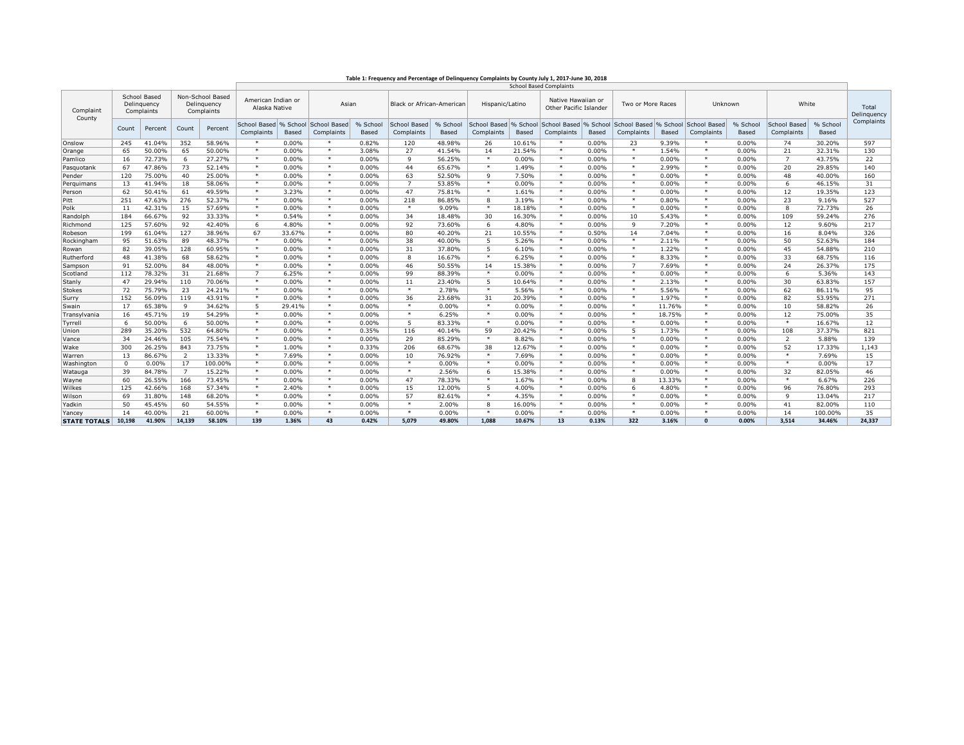| Table 1: Frequency and Percentage of Delinquency Complaints by County July 1, 2017-June 30, 2018 |  |  |  |  |
|--------------------------------------------------------------------------------------------------|--|--|--|--|
|                                                                                                  |  |  |  |  |

|                     |                                           | <b>School Based Complaints</b> |                                               |         |                                     |                   |                            |                   |                            |                   |                            |                   |                                              |       |                            |          |                                     |                   |                            |                   |                      |
|---------------------|-------------------------------------------|--------------------------------|-----------------------------------------------|---------|-------------------------------------|-------------------|----------------------------|-------------------|----------------------------|-------------------|----------------------------|-------------------|----------------------------------------------|-------|----------------------------|----------|-------------------------------------|-------------------|----------------------------|-------------------|----------------------|
| Complaint<br>County | School Based<br>Delinquency<br>Complaints |                                | Non-School Based<br>Delinguency<br>Complaints |         | American Indian or<br>Alaska Native |                   | Asian                      |                   | Black or African-American  |                   | Hispanic/Latino            |                   | Native Hawaiian or<br>Other Pacific Islander |       | Two or More Races          |          | Unknown                             |                   | White                      |                   | Total<br>Delinguency |
|                     | Count                                     | Percent                        | Count                                         | Percent | School Based<br>Complaints          | % School<br>Based | School Based<br>Complaints | % School<br>Based | School Based<br>Complaints | % School<br>Based | School Based<br>Complaints | % School<br>Based | School Based % School<br>Complaints          | Based | School Based<br>Complaints | Based    | % School School Based<br>Complaints | % School<br>Based | School Based<br>Complaints | % School<br>Based | Complaints           |
| Onslow              | 245                                       | 41.04%                         | 352                                           | 58.96%  | *                                   | 0.00%             | $\ast$                     | 0.82%             | 120                        | 48.98%            | 26                         | 10.61%            | *                                            | 0.00% | 23                         | 9.39%    | $\ast$                              | 0.00%             | 74                         | 30.20%            | 597                  |
| Orange              | 65                                        | 50.00%                         | 65                                            | 50.00%  | $\ast$                              | 0.00%             | $\ast$                     | 3.08%             | 27                         | 41.54%            | 14                         | 21.54%            | $\ast$                                       | 0.00% | $\ast$                     | 1.54%    | $\ast$                              | 0.00%             | 21                         | 32.31%            | 130                  |
| Pamlico             | 16                                        | 72.73%                         | 6                                             | 27.27%  | $\ast$                              | 0.00%             | $\ast$                     | 0.00%             | 9                          | 56.25%            | $\ast$                     | 0.00%             | $\ast$                                       | 0.00% | $\ast$                     | 0.00%    | $\ast$                              | 0.00%             | $\overline{7}$             | 43.75%            | 22                   |
| Pasquotank          | 67                                        | 47.86%                         | 73                                            | 52.14%  | $\ast$                              | 0.00%             | $\ast$                     | 0.00%             | 44                         | 65.67%            | $\ast$                     | 1.49%             | $\ast$                                       | 0.00% | $\ast$                     | 2.99%    | $\ast$                              | 0.00%             | 20                         | 29.85%            | 140                  |
| Pender              | 120                                       | 75.00%                         | 40                                            | 25.00%  | $\ast$                              | 0.00%             | $\ast$                     | 0.00%             | 63                         | 52.50%            | 9                          | 7.50%             | $\ast$                                       | 0.00% | $\ast$                     | 0.00%    | $*$                                 | 0.00%             | 48                         | 40.00%            | 160                  |
| Perquimans          | 13                                        | 41.94%                         | 18                                            | 58.06%  | $\ast$                              | 0.00%             | $\ast$                     | 0.00%             | $\overline{7}$             | 53.85%            | $\ast$                     | 0.00%             | $\ast$                                       | 0.00% | $\ast$                     | 0.00%    | $\ast$                              | 0.00%             | -6                         | 46.15%            | 31                   |
| Person              | 62                                        | 50.41%                         | 61                                            | 49.59%  | $\ast$                              | 3.23%             | $\ast$                     | 0.00%             | 47                         | 75.81%            | $\ast$                     | 1.61%             | $\ast$                                       | 0.00% | $\ast$                     | 0.00%    | $\ast$                              | 0.00%             | 12                         | 19.35%            | 123                  |
| Pitt                | 251                                       | 47.63%                         | 276                                           | 52.37%  | $\ast$                              | 0.00%             | $\ast$                     | 0.00%             | 218                        | 86.85%            | 8                          | 3.19%             | *                                            | 0.00% | $\ast$                     | 0.80%    | $\ast$                              | 0.00%             | 23                         | 9.16%             | 527                  |
| Polk                | 11                                        | 42.31%                         | 15                                            | 57.69%  | $\ast$                              | 0.00%             | $\ast$                     | 0.00%             | $\ast$                     | 9.09%             | $\ast$                     | 18.18%            | $\ast$                                       | 0.00% | $\ast$                     | 0.00%    | $\ast$                              | 0.00%             | $\mathbf{R}$               | 72.73%            | 26                   |
| Randolph            | 184                                       | 66.67%                         | 92                                            | 33.33%  | $\ast$                              | 0.54%             | $\ast$                     | 0.00%             | 34                         | 18.48%            | 30                         | 16.30%            | $\ast$                                       | 0.00% | 10                         | 5.43%    | $\ast$                              | 0.00%             | 109                        | 59.24%            | 276                  |
| Richmond            | 125                                       | 57.60%                         | 92                                            | 42.40%  | 6                                   | 4.80%             | $\ast$                     | 0.00%             | 92                         | 73.60%            | 6                          | 4.80%             | $\ast$                                       | 0.00% | 9                          | 7.20%    | $*$                                 | 0.00%             | 12                         | 9.60%             | 217                  |
| Robeson             | 199                                       | 61.04%                         | 127                                           | 38.96%  | 67                                  | 33.67%            | $\ast$                     | 0.00%             | 80                         | 40.20%            | 21                         | 10.55%            | $\ast$                                       | 0.50% | 14                         | 7.04%    | $\ast$                              | 0.00%             | 16                         | 8.04%             | 326                  |
| Rockingham          | 95                                        | 51.63%                         | 89                                            | 48.37%  | $\ast$                              | 0.00%             | $\ast$                     | 0.00%             | 38                         | 40.00%            | 5                          | 5.26%             | $\ast$                                       | 0.00% | $\ast$                     | 2.11%    | $\ast$                              | 0.00%             | 50                         | 52.63%            | 184                  |
| Rowan               | 82                                        | 39.05%                         | 128                                           | 60.95%  | $\ast$                              | 0.00%             | $\ast$                     | 0.00%             | 31                         | 37.80%            | 5                          | 6.10%             | $\ast$                                       | 0.00% | $\ast$                     | 1.22%    | $\ast$                              | 0.00%             | 45                         | 54.88%            | 210                  |
| Rutherford          | 48                                        | 41.38%                         | 68                                            | 58.62%  | $\ast$                              | 0.00%             | $\ast$                     | 0.00%             | 8                          | 16.67%            | $\ast$                     | 6.25%             | $\ast$                                       | 0.00% | $\ast$                     | 8.33%    | $\ast$                              | 0.00%             | 33                         | 68.75%            | 116                  |
| Sampson             | 91                                        | 52.00%                         | 84                                            | 48.00%  | $\ast$                              | 0.00%             | $\ast$                     | 0.00%             | 46                         | 50.55%            | 14                         | 15.38%            | $\ast$                                       | 0.00% | $\overline{7}$             | 7.69%    | $\ast$                              | 0.00%             | 24                         | 26.37%            | 175                  |
| Scotland            | 112                                       | 78.32%                         | 31                                            | 21.68%  | $\overline{7}$                      | 6.25%             | $\ast$                     | 0.00%             | 99                         | 88.39%            | $\ast$                     | 0.00%             | $\ast$                                       | 0.00% | $\ast$                     | 0.00%    | $\ast$                              | 0.00%             | -6                         | 5.36%             | 143                  |
| Stanly              | 47                                        | 29.94%                         | 110                                           | 70.06%  | $\ast$                              | 0.00%             | $\ast$                     | 0.00%             | 11                         | 23.40%            | 5                          | 10.64%            | $\ast$                                       | 0.00% | $\ast$                     | 2.13%    | $\ast$                              | 0.00%             | 30                         | 63.83%            | 157                  |
| Stokes              | 72                                        | 75.79%                         | 23                                            | 24.21%  | $\ast$                              | 0.00%             | $\ast$                     | 0.00%             | $\ast$                     | 2.78%             | $\ast$                     | 5.56%             | $\ast$                                       | 0.00% | $\ast$                     | 5.56%    | $\ast$                              | 0.00%             | 62                         | 86.11%            | 95                   |
| Surry               | 152                                       | 56.09%                         | 119                                           | 43.91%  | $\ast$                              | 0.00%             | $\ast$                     | 0.00%             | 36                         | 23.68%            | 31                         | 20.39%            | $\ast$                                       | 0.00% | $\ast$                     | 1.97%    | $\ast$                              | 0.00%             | 82                         | 53.95%            | 271                  |
| Swain               | 17                                        | 65.38%                         | 9                                             | 34.62%  | 5                                   | 29.41%            | $\ast$                     | 0.00%             | $\ast$                     | 0.00%             | $\ast$                     | 0.00%             | $\ast$                                       | 0.00% | $\ast$                     | 11.76%   | $\ast$                              | 0.00%             | 10                         | 58.82%            | 26                   |
| Transvlvania        | 16                                        | 45.71%                         | 19                                            | 54.29%  | $\ast$                              | 0.00%             | $\ast$                     | 0.00%             | $\ast$                     | 6.25%             | $\ast$                     | 0.00%             | $\ast$                                       | 0.00% | $\ast$                     | 18.75%   | $\ast$                              | 0.00%             | 12                         | 75.00%            | 35                   |
| Tyrrell             | 6                                         | 50.00%                         | 6                                             | 50.00%  | $\ast$                              | 0.00%             | $\ast$                     | 0.00%             | 5                          | 83.33%            | $\ast$                     | 0.00%             | $\ast$                                       | 0.00% | $\ast$                     | 0.00%    | $\ast$                              | 0.00%             | $\ast$                     | 16.67%            | 12                   |
| Union               | 289                                       | 35.20%                         | 532                                           | 64.80%  | $\ast$                              | 0.00%             | $\ast$                     | 0.35%             | 116                        | 40.14%            | 59                         | 20.42%            | $\ast$                                       | 0.00% | 5                          | 1.73%    | $\ast$                              | 0.00%             | 108                        | 37.37%            | 821                  |
| Vance               | 34                                        | 24.46%                         | 105                                           | 75.54%  | $\ast$                              | 0.00%             | $\ast$                     | 0.00%             | 29                         | 85.29%            | $\ast$                     | 8.82%             | $\ast$                                       | 0.00% | $\ast$                     | 0.00%    | $\ast$                              | 0.00%             | $\overline{2}$             | 5.88%             | 139                  |
| Wake                | 300                                       | 26.25%                         | 843                                           | 73.75%  | $\ast$                              | 1.00%             | $\ast$                     | 0.33%             | 206                        | 68.67%            | 38                         | 12.67%            | $\ast$                                       | 0.00% | $\ast$                     | 0.00%    | $\ast$                              | 0.00%             | 52                         | 17.33%            | 1,143                |
| Warren              | 13                                        | 86.67%                         | 2                                             | 13.33%  | $\ast$                              | 7.69%             | $\ast$                     | 0.00%             | 10                         | 76.92%            | $\ast$                     | 7.69%             | $\ast$                                       | 0.00% | $\ast$                     | 0.00%    | $\ast$                              | 0.00%             | $\ast$                     | 7.69%             | 15                   |
| Washington          | $\Omega$                                  | 0.00%                          | 17                                            | 100.00% | $\ast$                              | 0.00%             | $\ast$                     | 0.00%             | $\ast$                     | 0.00%             | $\ast$                     | 0.00%             | $\ast$                                       | 0.00% | $\ast$                     | 0.00%    | $\ast$                              | 0.00%             | $\ast$                     | 0.00%             | 17                   |
| Watauga             | 39                                        | 84.78%                         | $\overline{7}$                                | 15.22%  | $\ast$                              | 0.00%             | $\ast$                     | 0.00%             | $\ast$                     | 2.56%             | 6                          | 15.38%            | $\ast$                                       | 0.00% | $\ast$                     | 0.00%    | $\ast$                              | 0.00%             | 32                         | 82.05%            | 46                   |
| Wayne               | 60                                        | 26.55%                         | 166                                           | 73.45%  | $\ast$                              | 0.00%             | $\ast$                     | 0.00%             | 47                         | 78.33%            | $\ast$                     | 1.67%             | $\ast$                                       | 0.00% | 8                          | 13.33%   | $\ast$                              | 0.00%             | $\ast$                     | 6.67%             | 226                  |
| Wilkes              | 125                                       | 42.66%                         | 168                                           | 57.34%  | $\ast$                              | 2.40%             | $\ast$                     | 0.00%             | 15                         | 12.00%            | 5                          | 4.00%             | $\ast$                                       | 0.00% | 6                          | 4.80%    | $\ast$                              | 0.00%             | 96                         | 76.80%            | 293                  |
| Wilson              | 69                                        | 31.80%                         | 148                                           | 68.20%  | $\ast$                              | 0.00%             | $\ast$                     | 0.00%             | 57                         | 82.61%            | $\ast$                     | 4.35%             | $\ast$                                       | 0.00% | $\ast$                     | $0.00\%$ | $\ast$                              | 0.00%             | $\mathbf{q}$               | 13.04%            | 217                  |
| Yadkin              | 50                                        | 45.45%                         | 60                                            | 54.55%  | $\ast$                              | 0.00%             | $\ast$                     | 0.00%             | $\ast$                     | 2.00%             | 8                          | 16.00%            | $\ast$                                       | 0.00% | $\ast$                     | 0.00%    | $\ast$                              | 0.00%             | 41                         | 82.00%            | 110                  |
| Yancev              | 14                                        | 40.00%                         | 21                                            | 60.00%  | $\ast$                              | 0.00%             | $\ast$                     | 0.00%             | $\ast$                     | 0.00%             | $\ast$                     | 0.00%             | $\ast$                                       | 0.00% | $\ast$                     | 0.00%    | $\ast$                              | 0.00%             | 14                         | 100.00%           | 35                   |
| <b>STATE TOTALS</b> | 10,198                                    | 41.90%                         | 14,139                                        | 58.10%  | 139                                 | 1.36%             | 43                         | 0.42%             | 5,079                      | 49.80%            | 1,088                      | 10.67%            | 13                                           | 0.13% | 322                        | 3.16%    | $\Omega$                            | 0.00%             | 3,514                      | 34.46%            | 24,337               |